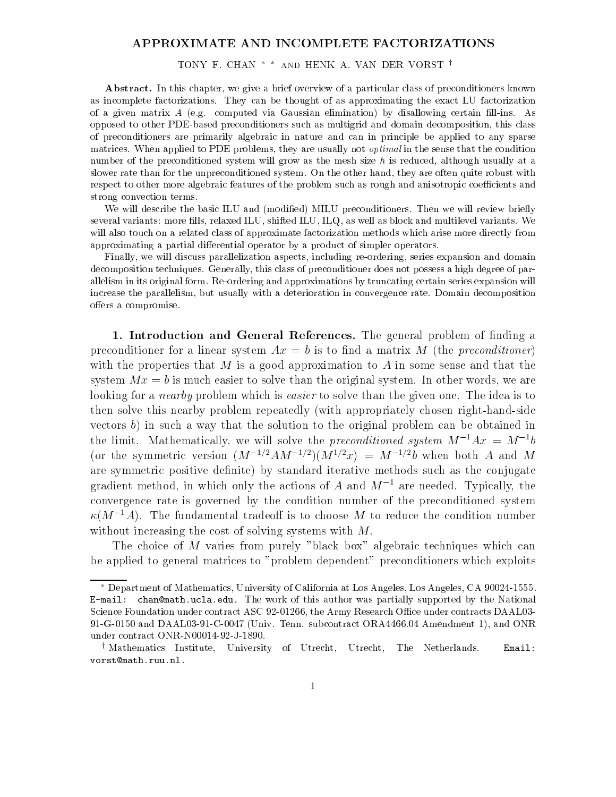## APPROXIMATE AND INCOMPLETE FACTORIZATIONS

TONY F. CHAN  $^*$   $^*$  and HENK A. VAN DER VORST  $^\dagger$ 

Abstract. In this chapter, we give a brief overview of a particular class of preconditioners known as incomplete factorizations. They can be thought of as approximating the exact LU factorization of a given matrix  $A$  (e.g. computed via Gaussian elimination) by disallowing certain fill-ins. As opposed to other PDE-based preconditioners such as multigrid and domain decomposition, this class of preconditioners are primarily algebraic in nature and can in principle be applied to any sparse matrices. When applied to PDE problems, they are usually not *optimal* in the sense that the condition number of the preconditioned system will grow as the mesh size  $h$  is reduced, although usually at a slower rate than for the unpreconditioned system. On the other hand, they are often quite robust with respect to other more algebraic features of the problem such as rough and anisotropic coefficients and strong convection terms.

We will describe the basic ILU and (modified) MILU preconditioners. Then we will review briefly several variants: more fills, relaxed ILU, shifted ILU, ILQ, as well as block and multilevel variants. We will also touch on a related class of approximate factorization methods which arise more directly from approximating a partial differential operator by a product of simpler operators.

Finally, we will discuss parallelization aspects, including re-ordering, series expansion and domain decomposition techniques. Generally, this class of preconditioner does not possess a high degree of parallelism in its original form. Re-ordering and approximations by truncating certain series expansion will increase the parallelism, but usually with a deterioration in convergence rate. Domain decomposition offers a compromise.

1. Introduction and General References. The general problem of finding a preconditioner for a linear system  $Ax = b$  is to find a matrix M (the preconditioner) with the properties that  $M$  is a good approximation to  $A$  in some sense and that the system  $Mx = b$  is much easier to solve than the original system. In other words, we are looking for a *nearby* problem which is *easier* to solve than the given one. The idea is to then solve this nearby problem repeatedly (with appropriately chosen right-hand-side vectors  $b$ ) in such a way that the solution to the original problem can be obtained in the limit. Mathematically, we will solve the preconditioned system  $M^{-1}Ax = M^{-1}b$ (or the symmetric version  $(M^{-1/2}AM^{-1/2})(M^{1/2}x) = M^{-1/2}b$  when both A and M are symmetric positive definite) by standard iterative methods such as the conjugate gradient method, in which only the actions of A and  $M^{-1}$  are needed. Typically, the convergence rate is governed by the condition number of the preconditioned system  $\kappa(M^{-1}A)$ . The fundamental tradeoff is to choose M to reduce the condition number without increasing the cost of solving systems with M.

The choice of M varies from purely "black box" algebraic techniques which can be applied to general matrices to "problem dependent" preconditioners which exploits

Department of Mathematics, University of California at Los Angeles, Los Angeles, CA 90024-1555. E-mail: chan@math.ucla.edu. The work of this author was partially supported by the National Science Foundation under contract ASC 92-01266, the Army Research Office under contracts DAAL03-91-G-0150 and DAAL03-91-C-0047 (Univ. Tenn. subcontract ORA4466.04 Amendment 1), and ONR under contract ONR-N00014-92-J-1890.

<sup>y</sup> Mathematics Institute, University of Utrecht, Utrecht, The Netherlands. Email: vorst@math.ruu.nl.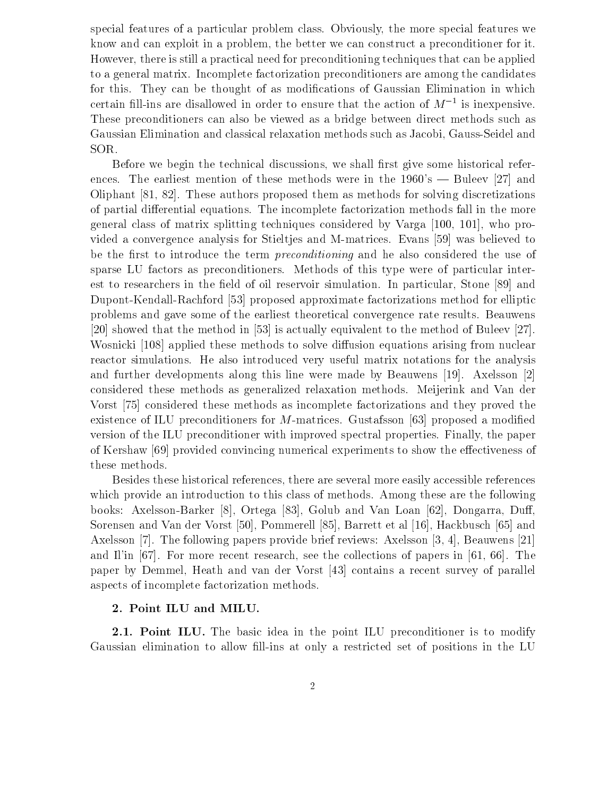special features of a particular problem class. Obviously, the more special features we know and can exploit in a problem, the better we can construct a preconditioner for it. However, there is still a practical need for preconditioning techniques that can be applied to a general matrix. Incomplete factorization preconditioners are among the candidates for this. They can be thought of as modifications of Gaussian Elimination in which certain fill-ins are disallowed in order to ensure that the action of  $M^{-\gamma}$  is inexpensive. These preconditioners can also be viewed asa bridge between direct methods such as Gaussian Elimination and classical relaxation methods such as Jacobi, Gauss-Seidel and SOR.

Before we begin the technical discussions, we shall first give some historical references. The earliest mention of these methods were in the  $1960's$  – Buleev [27] and Oliphant [81, 82]. These authors proposed them as methods for solving discretizations of partial differential equations. The incomplete factorization methods fall in the more general class of matrix splitting techniques considered by Varga [100, 101], who provided a convergence analysis for Stieltjes and M-matrices. Evans [59] was believed to be the first to introduce the term *preconditioning* and he also considered the use of sparse LU factors as preconditioners. Methods of this type were of particular interest to researchers in the field of oil reservoir simulation. In particular, Stone [89] and Dupont-Kendall-Rachford [53] proposed approximate factorizations method for elliptic problems and gave some of the earliest theoretical convergence rate results. Beauwens [20] showed that the method in [53] is actually equivalent to the method of Buleev [27]. Wosnicki [108] applied these methods to solve diffusion equations arising from nuclear reactor simulations. He also introduced very useful matrix notations for the analysis and further developments along this line were made by Beauwens [19]. Axelsson [2] considered these methods as generalized relaxation methods. Meijerink and Van der Vorst [75] considered these methods as incomplete factorizations and they proved the existence of ILU preconditioners for M-matrices. Gustafsson [63] proposed a modified version of the ILU preconditioner with improved spectral properties. Finally, the paper of Kershaw [69] provided convincing numerical experiments to show the effectiveness of these methods.

Besides these historical references, there are several more easily accessible references which provide an introduction to this class of methods. Among these are the following books: Axelsson-Barker [8], Ortega [83], Golub and Van Loan [62], Dongarra, Duff, Sorensen and Van der Vorst [50], Pommerell [85], Barrett et al [16], Hackbusch [65] and Axelsson [7]. The following papers provide brief reviews: Axelsson [3, 4], Beauwens [21] and Il'in [67]. For more recent research, see the collections of papers in [61, 66]. The paper by Demmel, Heath and van der Vorst [43] contains a recent survey of parallel aspects of incomplete factorization methods.

## 2. Point ILU and MILU.

2.1. Point ILU. The basic idea in the point ILU preconditioner is to modify Gaussian elimination to allow fill-ins at only a restricted set of positions in the LU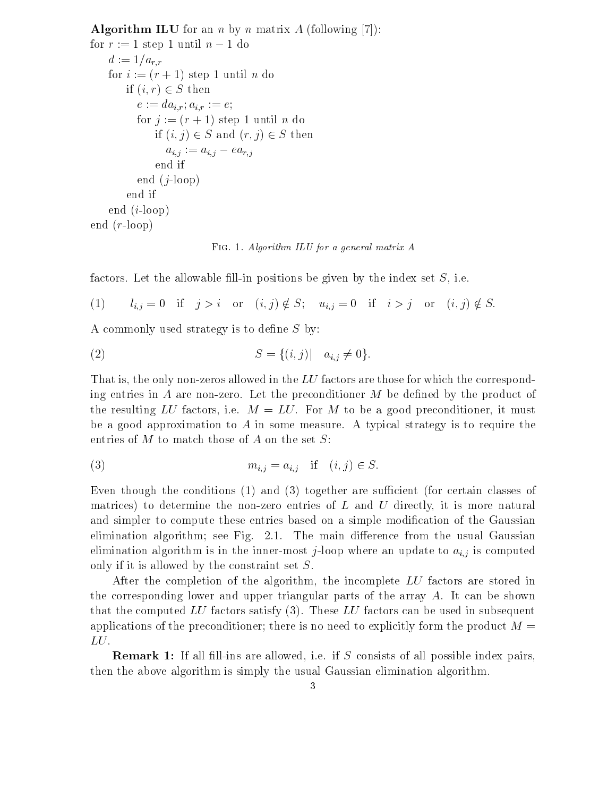**Algorithm ILU** for an *n* by *n* matrix A (following [7]): for  $r := 1$  step 1 until  $n - 1$  do  $d := 1/a_{r,r}$ for  $i := (r + 1)$  step 1 until n do if  $(i, r) \in S$  then  $e := da_{i,r}; a_{i,r} := e;$ for  $j := (r + 1)$  step 1 until n do if  $(i, j) \in S$  and  $(r, j) \in S$  then  $a_{i,j} := a_{i,j} - ea_{r,j}$ end if end  $(j\text{-loop})$ end if end  $(i\text{-loop})$ end  $(r\text{-loop})$ 

Fig. 1. Algorithm ILU for a general matrix A

factors. Let the allowable fill-in positions be given by the index set  $S$ , i.e.

(1)  $l_{i,j} = 0$  if  $j > i$  or  $(i,j) \notin S$ ;  $u_{i,j} = 0$  if  $i > j$  or  $(i,j) \notin S$ .

A commonly used strategy is to define  $S$  by:

(2) 
$$
S = \{(i, j) | a_{i,j} \neq 0\}.
$$

That is, the only non-zeros allowed in the  $LU$  factors are those for which the corresponding entries in A are non-zero. Let the preconditioner  $M$  be defined by the product of the resulting LU factors, i.e.  $M = LU$ . For M to be a good preconditioner, it must be a good approximation to A in some measure. A typical strategy is to require the entries of  $M$  to match those of  $A$  on the set  $S$ :

$$
(3) \t m_{i,j} = a_{i,j} \quad \text{if} \quad (i,j) \in S.
$$

Even though the conditions  $(1)$  and  $(3)$  together are sufficient (for certain classes of matrices) to determine the non-zero entries of  $L$  and  $U$  directly, it is more natural and simpler to compute these entries based on a simple modication of the Gaussian elimination algorithm; see Fig. 2.1. The main difference from the usual Gaussian elimination algorithm is in the inner-most j-loop where an update to  $a_{i,j}$  is computed only if it is allowed by the constraint set S.

After the completion of the algorithm, the incomplete LU factors are stored in the corresponding lower and upper triangular parts of the array  $A$ . It can be shown that the computed LU factors satisfy  $(3)$ . These LU factors can be used in subsequent applications of the preconditioner; there is no need to explicitly form the product  $M =$ LU.<br>**Remark 1:** If all fill-ins are allowed, i.e. if S consists of all possible index pairs,

then the above algorithm is simply the usual Gaussian elimination algorithm.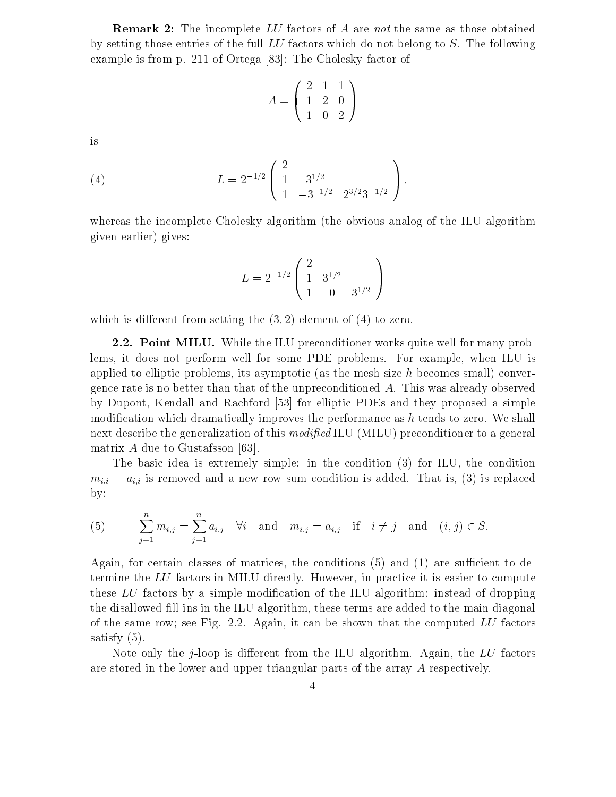**Remark 2:** The incomplete LU factors of A are not the same as those obtained by setting those entries of the full LU factors which do not belong to S. The following example is from p. 211 of Ortega [83]: The Cholesky factor of

$$
A = \left(\begin{array}{rrr} 2 & 1 & 1 \\ 1 & 2 & 0 \\ 1 & 0 & 2 \end{array}\right)
$$

is

(4) 
$$
L = 2^{-1/2} \begin{pmatrix} 2 \\ 1 & 3^{1/2} \\ 1 & -3^{-1/2} & 2^{3/2}3^{-1/2} \end{pmatrix},
$$

whereas the incomplete Cholesky algorithm (the obvious analog of the ILU algorithm given earlier) gives:

$$
L = 2^{-1/2} \left( \begin{array}{cc} 2 & 0 \\ 1 & 3^{1/2} \\ 1 & 0 & 3^{1/2} \end{array} \right)
$$

which is different from setting the  $(3, 2)$  element of  $(4)$  to zero.

2.2. Point MILU. While the ILU preconditioner works quite well for many problems, it does not perform well for some PDE problems. For example, when ILU is applied to elliptic problems, its asymptotic (as the mesh size  $h$  becomes small) convergence rate is no better than that of the unpreconditioned A. This was already observed by Dupont, Kendall and Rachford [53] for elliptic PDEs and they proposed a simple modification which dramatically improves the performance as  $h$  tends to zero. We shall next describe the generalization of this  $modified \, ILU$  (MILU) preconditioner to a general matrix A due to Gustafsson [63].

The basic idea is extremely simple: in the condition (3) for ILU, the condition  $m_{i,i} = a_{i,i}$  is removed and a new row sum condition is added. That is, (3) is replaced by:

(5) 
$$
\sum_{j=1}^{n} m_{i,j} = \sum_{j=1}^{n} a_{i,j} \quad \forall i \text{ and } m_{i,j} = a_{i,j} \text{ if } i \neq j \text{ and } (i,j) \in S.
$$

Again, for certain classes of matrices, the conditions  $(5)$  and  $(1)$  are sufficient to determine the LU factors in MILU directly. However, in practice it is easier to compute these  $LU$  factors by a simple modification of the ILU algorithm: instead of dropping the disallowed fill-ins in the ILU algorithm, these terms are added to the main diagonal of the same row; see Fig. 2.2. Again, it can be shown that the computed  $LU$  factors satisfy (5).

Note only the *j*-loop is different from the ILU algorithm. Again, the  $LU$  factors are stored in the lower and upper triangular parts of the array A respectively.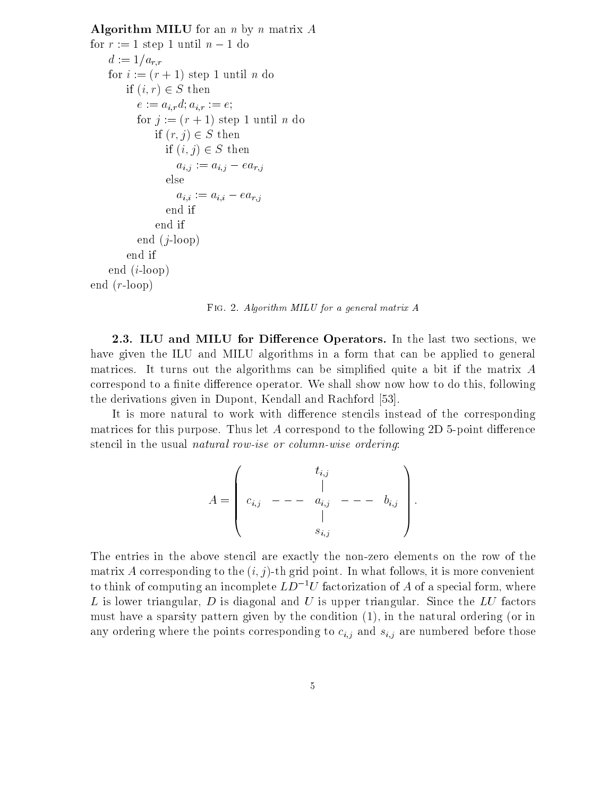```
Algorithm MILU for an n by n matrix Afor r := 1 step 1 until n - 1 do
    d := 1/a_{r,r}for i := (r + 1) step 1 until n do
        if (i, r) \in S then
           e := a_{i,r} d; a_{i,r} := e;for j := (r + 1) step 1 until n do
               if (r, j) \in S then
                  if (i, j) \in S then
                    a_{i,j} := a_{i,j} - ea_{r,j}_{\text{else}}a_{i,i} := a_{i,i} - ea_{r,j}end if
               end if
           end (j\text{-loop})end if
    end (i\text{-loop})end (r-loop)
```
Fig. 2. Algorithm MILU for a general matrix A

2.3. ILU and MILU for Difference Operators. In the last two sections, we have given the ILU and MILU algorithms in a form that can be applied to general matrices. It turns out the algorithms can be simplified quite a bit if the matrix  $A$ correspond to a finite difference operator. We shall show now how to do this, following the derivations given in Dupont, Kendall and Rachford [53].

It is more natural to work with difference stencils instead of the corresponding matrices for this purpose. Thus let A correspond to the following 2D 5-point difference stencil in the usual natural row-ise or column-wise ordering:

$$
A = \left( \begin{array}{ccc} & t_{i,j} & & \\ & | & & \\ c_{i,j} & - & -a_{i,j} & - & -b_{i,j} \\ & | & & | & \\ & & s_{i,j} & \end{array} \right).
$$

The entries in the above stencil are exactly the non-zero elements on the row of the matrix A corresponding to the  $(i, j)$ -th grid point. In what follows, it is more convenient to think of computing an incomplete  $LD^{-1}U$  factorization of A of a special form, where L is lower triangular, D is diagonal and U is upper triangular. Since the LU factors must have a sparsity pattern given by the condition (1), in the natural ordering (or in any ordering where the points corresponding to  $c_{i,j}$  and  $s_{i,j}$  are numbered before those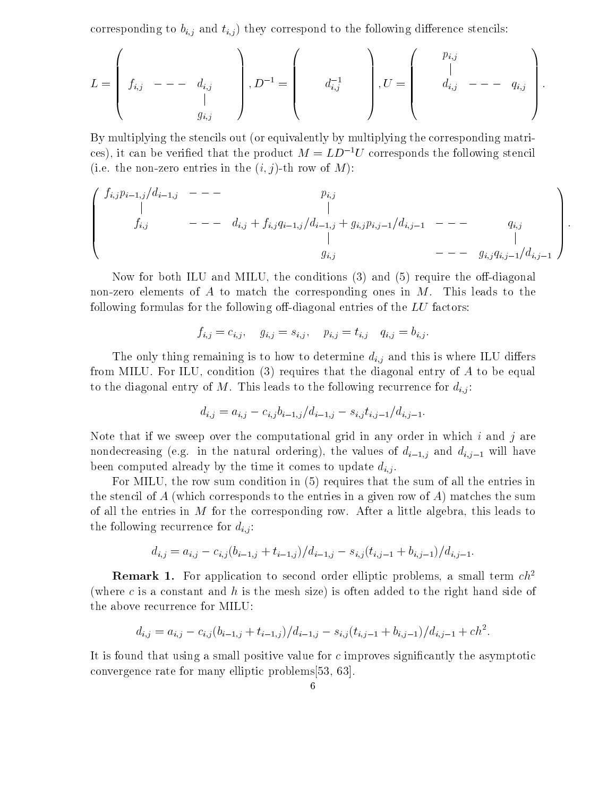corresponding to  $b_{i,j}$  and  $t_{i,j}$ ) they correspond to the following difference stencils:

$$
L = \begin{pmatrix} & & & \\ & f_{i,j} & - - -d_{i,j} & \\ & & | & \\ & & g_{i,j} & \end{pmatrix}, D^{-1} = \begin{pmatrix} & & & \\ & d_{i,j}^{-1} & \\ & & \end{pmatrix}, U = \begin{pmatrix} & p_{i,j} & & \\ & | & & \\ & d_{i,j} & - - -q_{i,j} & \\ & & & \end{pmatrix}.
$$

By multiplying the stencils out (or equivalently by multiplying the corresponding matrices), it can be verified that the product  $M = LD^{-1}U$  corresponds the following stencil (i.e. the non-zero entries in the  $(i, j)$ -th row of M):

$$
\begin{pmatrix}\nf_{i,j}p_{i-1,j}/d_{i-1,j} & - & - & p_{i,j} \\
\mid & \mid & \mid & \mid \\
f_{i,j} & - & -d_{i,j} + f_{i,j}q_{i-1,j}/d_{i-1,j} + g_{i,j}p_{i,j-1}/d_{i,j-1} & - & - & q_{i,j} \\
\mid & \mid & \mid & \mid \\
g_{i,j} & - & -g_{i,j}q_{i,j-1}/d_{i,j-1}\n\end{pmatrix}.
$$

Now for both ILU and MILU, the conditions  $(3)$  and  $(5)$  require the off-diagonal non-zero elements of A to match the corresponding ones in  $M$ . This leads to the following formulas for the following off-diagonal entries of the  $LU$  factors:

$$
f_{i,j} = c_{i,j}, \quad g_{i,j} = s_{i,j}, \quad p_{i,j} = t_{i,j} \quad q_{i,j} = b_{i,j}.
$$

The only thing remaining is to how to determine  $d_{i,j}$  and this is where ILU differs from MILU. For ILU, condition (3) requires that the diagonal entry of A to be equal to the diagonal entry of M. This leads to the following recurrence for  $d_{i,j}$ :

$$
d_{i,j} = a_{i,j} - c_{i,j}b_{i-1,j}/d_{i-1,j} - s_{i,j}t_{i,j-1}/d_{i,j-1}.
$$

Note that if we sweep over the computational grid in any order in which  $i$  and  $j$  are nondecreasing (e.g. in the natural ordering), the values of  $d_{i-1,j}$  and  $d_{i,j-1}$  will have been computed already by the time it comes to update  $d_{i,j}$ .

For MILU, the row sum condition in (5) requires that the sum of all the entries in the stencil of A (which corresponds to the entries in a given row of A) matches the sum of all the entries in M for the corresponding row. After a little algebra, this leads to the following recurrence for  $d_{i,j}$ :

$$
d_{i,j} = a_{i,j} - c_{i,j}(b_{i-1,j} + t_{i-1,j})/d_{i-1,j} - s_{i,j}(t_{i,j-1} + b_{i,j-1})/d_{i,j-1}.
$$

**Remark 1.** For application to second order elliptic problems, a small term  $ch^2$ (where c is a constant and h is the mesh size) is often added to the right hand side of the above recurrence for MILU:

$$
d_{i,j} = a_{i,j} - c_{i,j}(b_{i-1,j} + t_{i-1,j})/d_{i-1,j} - s_{i,j}(t_{i,j-1} + b_{i,j-1})/d_{i,j-1} + ch^2.
$$

It is found that using a small positive value for  $c$  improves significantly the asymptotic convergence rate for many elliptic problems[53, 63].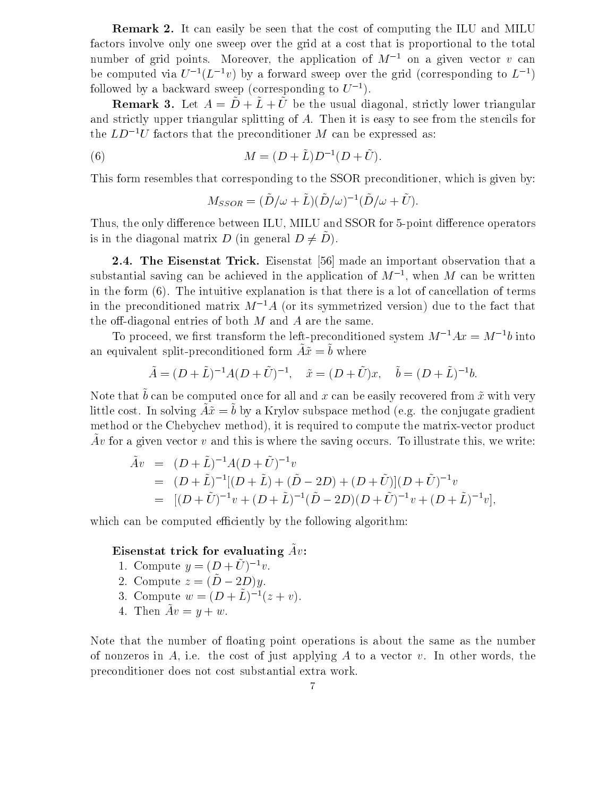Remark 2. It can easily be seen that the cost of computing the ILU and MILU factors involve only one sweep over the grid ata cost that is proportional to the total number of grid points. Moreover, the application of  $M^{-1}$  on a given vector v can be computed via  $U^{-1}(L^{-1}v)$  by a forward sweep over the grid (corresponding to  $L^{-1}$ ) followed by a backward sweep (corresponding to  $U^{-1}$ ).

**Remark 3.** Let  $A = \tilde{D} + \tilde{L} + \tilde{U}$  be the usual diagonal, strictly lower triangular and strictly upper triangular splitting of A. Then it is easy to see from the stencils for the  $LD^{-1}U$  factors that the preconditioner M can be expressed as:

(6) 
$$
M = (D + \tilde{L})D^{-1}(D + \tilde{U}).
$$

This form resembles that corresponding to the SSOR preconditioner, which is given by:

$$
M_{SSOR} = (\tilde{D}/\omega + \tilde{L})(\tilde{D}/\omega)^{-1}(\tilde{D}/\omega + \tilde{U}).
$$

Thus, the only difference between ILU, MILU and SSOR for 5-point difference operators is in the diagonal matrix D (in general  $D \neq D$ ).

2.4. The Eisenstat Trick. Eisenstat [56] made an important observation that a substantial saving can be achieved in the application of  $M^{-1}$ , when  $M$  can be written in the form (6). The intuitive explanation is that there is a lot of cancellation of terms in the preconditioned matrix  $M^{-1}A$  (or its symmetrized version) due to the fact that the off-diagonal entries of both  $M$  and  $A$  are the same.

To proceed, we first transform the left-preconditioned system  $M^{-1}Ax = M^{-1}b$  into an equivalent split-preconditioned form  $Au = v$  where

$$
\tilde{A} = (D + \tilde{L})^{-1}A(D + \tilde{U})^{-1}, \quad \tilde{x} = (D + \tilde{U})x, \quad \tilde{b} = (D + \tilde{L})^{-1}b.
$$

Typic that  $\theta$  can be computed once for all and x can be easily recovered from x-with very  $\lim_{x\to a}$  cost. In solving  $Ax = b$  by a Krylov subspace method (e.g. the conjugate gradient method or the Chebychev method), it is required to compute the matrix-vector product  $A$ v=tor a given vector v and this is where the saving occurs. To inustrate this, we write.

$$
\begin{aligned}\n\tilde{A}v &= (D + \tilde{L})^{-1} A (D + \tilde{U})^{-1} v \\
&= (D + \tilde{L})^{-1} [(D + \tilde{L}) + (\tilde{D} - 2D) + (D + \tilde{U})] (D + \tilde{U})^{-1} v \\
&= [(D + \tilde{U})^{-1} v + (D + \tilde{L})^{-1} (\tilde{D} - 2D) (D + \tilde{U})^{-1} v + (D + \tilde{L})^{-1} v],\n\end{aligned}
$$

which can be computed efficiently by the following algorithm:

## Eisenstat trick for evaluating  $Av$ :

- 1. Compute  $y = (D + U)^{-1}v$ .
- 2. Compute  $z = (\tilde{D} 2D)y$ .
- 3. Compute  $w = (D + L)^{-1}(z + v)$ .
- 4. Then  $Av = y + w$ .

Note that the number of floating point operations is about the same as the number of nonzeros in A, i.e. the cost of just applying A to a vector v. In other words, the preconditioner does not cost substantial extra work.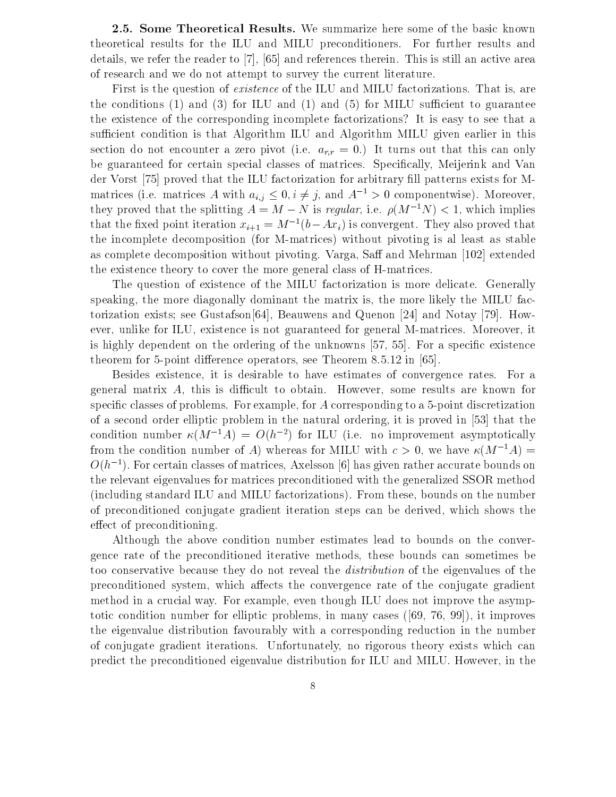2.5. Some Theoretical Results. We summarize here some of the basic known theoretical results for the ILU and MILU preconditioners. For further results and details, we refer the reader to [7], [65] and references therein. This is still an active area of research and we do not attempt to survey the current literature.

First is the question of existence of the ILU and MILU factorizations. That is, are the conditions  $(1)$  and  $(3)$  for ILU and  $(1)$  and  $(5)$  for MILU sufficient to guarantee the existence of the corresponding incomplete factorizations? It is easy to see that a sufficient condition is that Algorithm ILU and Algorithm MILU given earlier in this section do not encounter a zero pivot (i.e.  $a_{r,r} = 0$ .) It turns out that this can only be guaranteed for certain special classes of matrices. Specically, Meijerink and Van der Vorst [75] proved that the ILU factorization for arbitrary fill patterns exists for Mmatrices (i.e. matrices A with  $a_{i,j} \leq 0, i \neq j$ , and  $A^{-1} > 0$  componentwise). Moreover, they proved that the splitting  $A = M - N$  is regular, i.e.  $\rho(M^{-1}N) < 1$ , which implies that the fixed point iteration  $x_{i+1} = M^{-1}(b - Ax_i)$  is convergent. They also proved that the incomplete decomposition (for M-matrices) without pivoting is al least as stable as complete decomposition without pivoting. Varga, Saff and Mehrman [102] extended the existence theory to cover the more general class of H-matrices.

The question of existence of the MILU factorization is more delicate. Generally speaking, the more diagonally dominant the matrix is, the more likely the MILU factorization exists; see Gustafson[64], Beauwens and Quenon [24] and Notay [79]. However, unlike for ILU, existence is not guaranteed for general M-matrices. Moreover, it is highly dependent on the ordering of the unknowns [57, 55]. For a specific existence theorem for 5-point difference operators, see Theorem 8.5.12 in  $[65]$ .

Besides existence, it is desirable to have estimates of convergence rates. For a general matrix  $A$ , this is difficult to obtain. However, some results are known for specific classes of problems. For example, for A corresponding to a 5-point discretization of a second order elliptic problem in the natural ordering, it is proved in [53] that the condition number  $\kappa(M^{-1}A) = O(h^{-2})$  for ILU (i.e. no improvement asymptotically from the condition number of A) whereas for MILU with  $c > 0$ , we have  $\kappa(M^{-1}A) =$  $O(h^{-1})$ . For certain classes of matrices, Axelsson [6] has given rather accurate bounds on the relevant eigenvalues for matrices preconditioned with the generalized SSOR method (including standard ILU and MILU factorizations). From these, bounds on the number of preconditioned conjugate gradient iteration steps can be derived, which shows the effect of preconditioning.

Although the above condition number estimates lead to bounds on the convergence rate of the preconditioned iterative methods, these bounds can sometimes be too conservative because they do not reveal the distribution of the eigenvalues of the preconditioned system, which affects the convergence rate of the conjugate gradient method in a crucial way. For example, even though ILU does not improve the asymptotic condition number for elliptic problems, in many cases ([69, 76, 99]), it improves the eigenvalue distribution favourably with a corresponding reduction in the number of conjugate gradient iterations. Unfortunately, no rigorous theory exists which can predict the preconditioned eigenvalue distribution for ILU and MILU. However, in the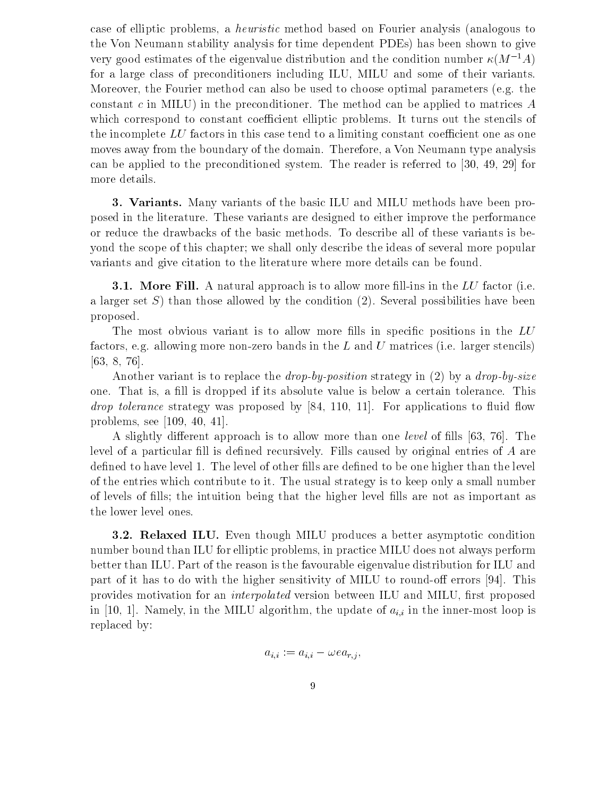case of elliptic problems, a heuristic method based on Fourier analysis (analogous to the Von Neumann stability analysis for time dependent PDEs) has been shown to give very good estimates of the eigenvalue distribution and the condition number  $\kappa(M^{-1}A)$ for a large class of preconditioners including ILU, MILU and some of their variants. Moreover, the Fourier method can also be used to choose optimal parameters (e.g. the constant  $c$  in MILU) in the preconditioner. The method can be applied to matrices  $A$ which correspond to constant coefficient elliptic problems. It turns out the stencils of the incomplete  $LU$  factors in this case tend to a limiting constant coefficient one as one moves away from the boundary of the domain. Therefore, a Von Neumann type analysis can be applied to the preconditioned system. The reader is referred to [30, 49, 29] for more details.

3. Variants. Many variants of the basic ILU and MILU methods have been proposed in the literature. These variants are designed to either improve the performance or reduce the drawbacks of the basic methods. To describe all of these variants is beyond the scope of this chapter; we shall only describe the ideas of several more popular variants and give citation to the literature where more details can be found.

**3.1. More Fill.** A natural approach is to allow more fill-ins in the  $LU$  factor (i.e. a larger set  $S$ ) than those allowed by the condition (2). Several possibilities have been proposed.

The most obvious variant is to allow more fills in specific positions in the  $LU$ factors, e.g. allowing more non-zero bands in the  $L$  and  $U$  matrices (i.e. larger stencils) [63, 8, 76].

Another variant is to replace the *drop-by-position* strategy in  $(2)$  by a *drop-by-size* one. That is, a fill is dropped if its absolute value is below a certain tolerance. This drop tolerance strategy was proposed by [84, 110, 11]. For applications to uid ow problems, see [109, 40, 41].

A slightly different approach is to allow more than one *level* of fills [63, 76]. The level of a particular fill is defined recursively. Fills caused by original entries of  $A$  are defined to have level 1. The level of other fills are defined to be one higher than the level of the entries which contribute to it. The usual strategy is to keep only a small number of levels of fills; the intuition being that the higher level fills are not as important as the lower level ones.

3.2. Relaxed ILU. Even though MILU produces a better asymptotic condition number bound than ILU for elliptic problems, in practice MILU does not always perform better than ILU. Part of the reason is the favourable eigenvalue distribution for ILU and part of it has to do with the higher sensitivity of MILU to round-off errors [94]. This provides motivation for an *interpolated* version between ILU and MILU, first proposed in [10, 1]. Namely, in the MILU algorithm, the update of  $a_{i,i}$  in the inner-most loop is replaced by:

$$
a_{i,i} := a_{i,i} - \omega e a_{r,j},
$$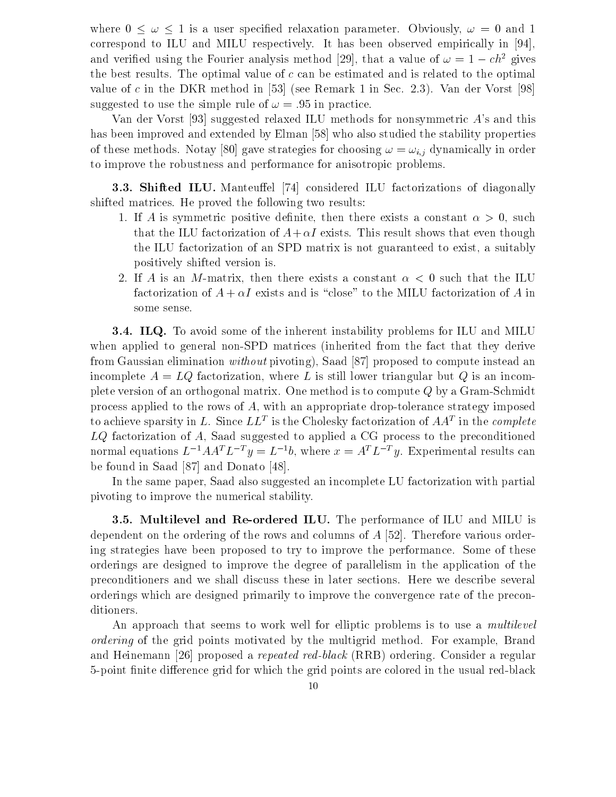where  $0 \leq \omega \leq 1$  is a user specified relaxation parameter. Obviously,  $\omega = 0$  and 1 correspond to ILU and MILU respectively. It has been observed empirically in [94], and verified using the Fourier analysis method [29], that a value of  $\omega = 1 - c h^2$  gives the best results. The optimal value of  $c$  can be estimated and is related to the optimal value of c in the DKR method in [53] (see Remark 1 in Sec. 2.3). Van der Vorst [98] suggested to use the simple rule of  $\omega = .95$  in practice.

Van der Vorst [93] suggested relaxed ILU methods for nonsymmetric A's and this has been improved and extended by Elman [58] who also studied the stability properties of these methods. Notay [80] gave strategies for choosing  $\omega = \omega_{i,j}$  dynamically in order to improve the robustness and performance for anisotropic problems.

**3.3. Shifted ILU.** Manteuffel [74] considered ILU factorizations of diagonally shifted matrices. He proved the following two results:

- 1. If A is symmetric positive definite, then there exists a constant  $\alpha > 0$ , such that the ILU factorization of  $A+\alpha I$  exists. This result shows that even though the ILU factorization of an SPD matrix is not guaranteed to exist, a suitably positively shifted version is.
- 2. If A is an M-matrix, then there exists a constant  $\alpha < 0$  such that the ILU factorization of  $A + \alpha I$  exists and is "close" to the MILU factorization of A in some sense.

**3.4. ILQ.** To avoid some of the inherent instability problems for ILU and MILU when applied to general non-SPD matrices (inherited from the fact that they derive from Gaussian elimination without pivoting), Saad [87] proposed to compute instead an incomplete  $A = LQ$  factorization, where L is still lower triangular but Q is an incomplete version of an orthogonal matrix. One method is to compute Q by a Gram-Schmidt process applied to the rows of A, with an appropriate drop-tolerance strategy imposed to achieve sparsity in L. Since  $LL$  is the Cholesky factorization of  $AA$  in the complete  $LQ$  factorization of A, Saad suggested to applied a CG process to the preconditioned normal equations  $L^{-1}AA^T L^{-T}y = L^{-1}b$ , where  $x = A^T L^{-T}y$ . Experimental results can be found in Saad [87] and Donato [48].

In the same paper, Saad also suggested an incomplete LU factorization with partial pivoting to improve the numerical stability.

**3.5. Multilevel and Re-ordered ILU.** The performance of ILU and MILU is dependent on the ordering of the rows and columns of  $A$  [52]. Therefore various ordering strategies have been proposed to try to improve the performance. Some of these orderings are designed to improve the degree of parallelism in the application of the preconditioners and we shall discuss these in later sections. Here we describe several orderings which are designed primarily to improve the convergence rate of the preconditioners.

An approach that seems to work well for elliptic problems is to use a *multilevel* ordering of the grid points motivated by the multigrid method. For example, Brand and Heinemann [26] proposed a *repeated red-black* (RRB) ordering. Consider a regular 5-point finite difference grid for which the grid points are colored in the usual red-black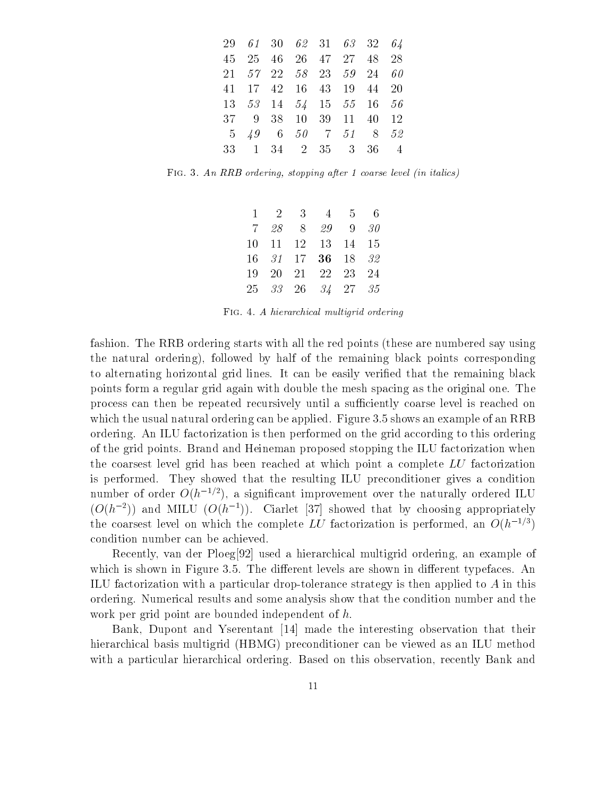|  | 29 61 30 62 31 63 32 64                             |  |  |  |
|--|-----------------------------------------------------|--|--|--|
|  | 45 25 46 26 47 27 48 28                             |  |  |  |
|  | 21 57 22 58 23 59 24 60                             |  |  |  |
|  | 41 17 42 16 43 19 44 20                             |  |  |  |
|  | 13 53 14 54 15 55 16 56                             |  |  |  |
|  | 37 9 38 10 39 11 40 12                              |  |  |  |
|  | $5\quad 49 \quad 6\quad 50$ 7 $51 \quad 8 \quad 52$ |  |  |  |
|  | 33 1 34 2 35 3 36 4                                 |  |  |  |

Fig. 3. An RRB ordering, stopping after 1 coarse level (in italics)

|  | $1 \t2 \t3 \t4 \t5 \t6$ |  |  |
|--|-------------------------|--|--|
|  | 7 28 8 29 9 30          |  |  |
|  | 10 11 12 13 14 15       |  |  |
|  | 16 31 17 36 18 32       |  |  |
|  | 19 20 21 22 23 24       |  |  |
|  | 25 33 26 34 27 35       |  |  |

Fig. 4. A hierarchical multigrid ordering

fashion. The RRB ordering starts with all the red points (these are numbered say using the natural ordering), followed by half of the remaining black points corresponding to alternating horizontal grid lines. It can be easily veried that the remaining black points form a regular grid again with double the mesh spacing as the original one. The process can then be repeated recursively until a sufficiently coarse level is reached on which the usual natural ordering can be applied. Figure 3.5 shows an example of an RRB ordering. An ILU factorization is then performed on the grid according to this ordering of the grid points. Brand and Heineman proposed stopping the ILU factorization when the coarsest level grid has been reached at which point a complete LU factorization is performed. They showed that the resulting ILU preconditioner gives a condition number of order  $O(h^{-1/2})$ , a significant improvement over the naturally ordered ILU  $(O(h^{-2}))$  and MILU  $(O(h^{-1}))$ . Ciarlet [37] showed that by choosing appropriately the coarsest level on which the complete LU factorization is performed, an  $O(h^{-1/3})$ condition number can be achieved.

Recently, van der Ploeg[92] used a hierarchical multigrid ordering, an example of which is shown in Figure 3.5. The different levels are shown in different typefaces. An ILU factorization with a particular drop-tolerance strategy is then applied to A in this ordering. Numerical results and some analysis show that the condition number and the work per grid point are bounded independent of h.

Bank, Dupont and Yserentant [14] made the interesting observation that their hierarchical basis multigrid (HBMG) preconditioner can be viewed as an ILU method with a particular hierarchical ordering. Based on this observation, recently Bank and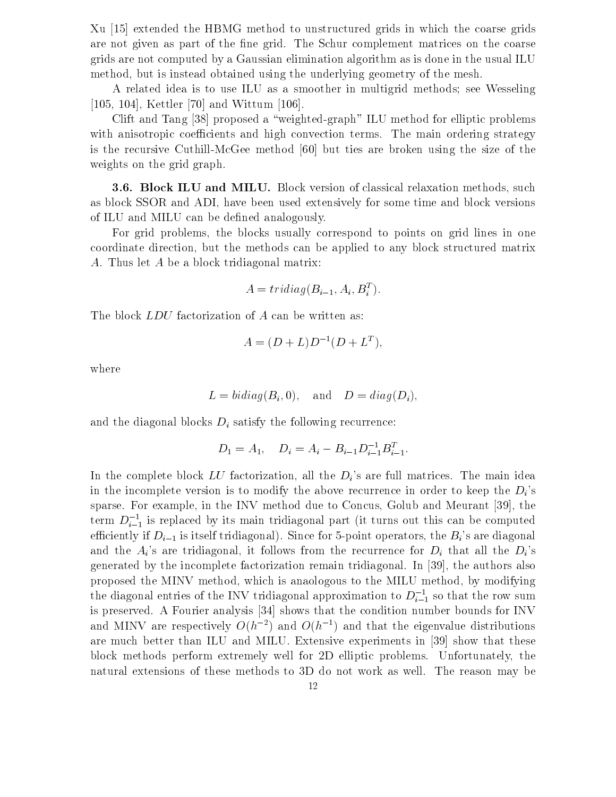Xu [15] extended the HBMG method to unstructured grids in which the coarse grids are not given as part of the fine grid. The Schur complement matrices on the coarse grids are not computed by a Gaussian elimination algorithm as is done in the usual ILU method, but is instead obtained using the underlying geometry of the mesh.

A related idea is to use ILU as a smoother in multigrid methods; see Wesseling [105, 104], Kettler [70] and Wittum [106].

Clift and Tang [38] proposed a \weighted-graph" ILU method for elliptic problems with anisotropic coefficients and high convection terms. The main ordering strategy is the recursive Cuthill-McGee method [60] but ties are broken using the size of the weights on the grid graph.

**3.6. Block ILU and MILU.** Block version of classical relaxation methods, such as block SSOR and ADI, have been used extensively for some time and block versions of ILU and MILU can be defined analogously.

For grid problems, the blocks usually correspond to points on grid lines in one coordinate direction, but the methods can be applied to any block structured matrix A. Thus let A be a block tridiagonal matrix:

$$
A = tridiag(B_{i-1}, A_i, B_i^T).
$$

The block *LDU* factorization of A can be written as:

$$
A = (D + L)D^{-1}(D + L^{T}),
$$

where

$$
L = bidiag(B_i, 0)
$$
, and  $D = diag(D_i)$ ,

and the diagonal blocks  $D_i$  satisfy the following recurrence:

$$
D_1 = A_1, \quad D_i = A_i - B_{i-1} D_{i-1}^{-1} B_{i-1}^T.
$$

In the complete block  $LU$  factorization, all the  $D_i$ 's are full matrices. The main idea in the incomplete version is to modify the above recurrence in order to keep the  $D_i$ 's sparse. For example, in the INV method due to Concus, Golub and Meurant [39], the term  $D_{i-1}$  is replaced by its main tridiagonal part (it turns out this can be computed efficiently if  $D_{i-1}$  is itself tridiagonal). Since for 5-point operators, the  $B_i$ 's are diagonal and the  $A_i$ 's are tridiagonal, it follows from the recurrence for  $D_i$  that all the  $D_i$ 's generated by the incomplete factorization remain tridiagonal. In [39], the authors also proposed the MINV method, which is anaologous to the MILU method, by modifying the diagonal entries of the INV tridiagonal approximation to  $D_{i-1}^{\ldots}$  so that the row sum is preserved. A Fourier analysis [34] shows that the condition number bounds for INV and MINV are respectively  $O(h^{-2})$  and  $O(h^{-1})$  and that the eigenvalue distributions are much better than ILU and MILU. Extensive experiments in [39] show that these block methods perform extremely well for 2D elliptic problems. Unfortunately, the natural extensions of these methods to 3D do not work as well. The reason may be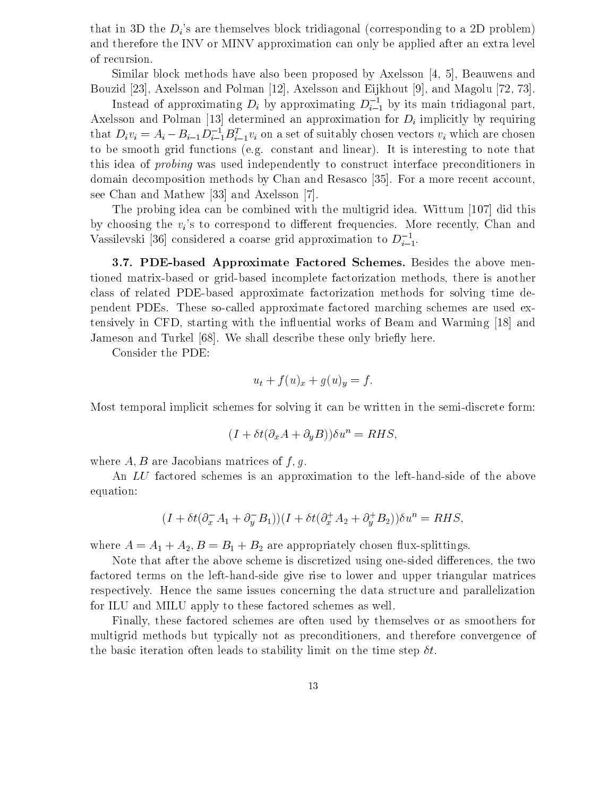that in 3D the  $D_i$ 's are themselves block tridiagonal (corresponding to a 2D problem) and therefore the INV or MINV approximation can only be applied after an extra level of recursion.

Similar block methods have also been proposed by Axelsson [4, 5], Beauwens and Bouzid [23], Axelsson and Polman [12], Axelsson and Eijkhout [9], and Magolu [72, 73].

Instead of approximating  $D_i$  by approximating  $D_{i-1}^-$  by its main tridiagonal part, Axelsson and Polman [13] determined an approximation for  $D_i$  implicitly by requiring that  $D_i v_i = A_i - B_{i-1}D_{i-1}^{-1}B_{i-1}^{*}v_i$  on a set of suitably chosen vectors  $v_i$  which are chosen to be smooth grid functions (e.g. constant and linear). It is interesting to note that this idea of probing was used independently to construct interface preconditioners in domain decomposition methods by Chan and Resasco [35]. For a more recent account, see Chan and Mathew [33] and Axelsson [7].

The probing idea can be combined with the multigrid idea. Wittum [107] did this by choosing the  $v_i$ 's to correspond to different frequencies. More recently, Chan and Vassilevski [36] considered a coarse grid approximation to  $D_{i-1}$ .

3.7. PDE-based Approximate Factored Schemes. Besides the above mentioned matrix-based or grid-based incomplete factorization methods, there is another class of related PDE-based approximate factorization methods for solving time dependent PDEs. These so-called approximate factored marching schemes are used extensively in CFD, starting with the influential works of Beam and Warming [18] and Jameson and Turkel [68]. We shall describe these only briefly here.

Consider the PDE:

$$
u_t + f(u)_x + g(u)_y = f.
$$

Most temporal implicit schemes for solving it can be written in the semi-discrete form:

$$
(I + \delta t(\partial_x A + \partial_y B))\delta u^n = RHS,
$$

where  $A, B$  are Jacobians matrices of  $f, g$ .

An LU factored schemes is an approximation to the left-hand-side of the above equation:

$$
(I + \delta t(\partial_x^{\scriptscriptstyle -} A_1 + \partial_y^{\scriptscriptstyle -} B_1))(I + \delta t(\partial_x^{\scriptscriptstyle +} A_2 + \partial_y^{\scriptscriptstyle +} B_2))\delta u^n = RHS,
$$

where  $A = A_1 + A_2, B = B_1 + B_2$  are appropriately chosen flux-splittings.

Note that after the above scheme is discretized using one-sided differences, the two factored terms on the left-hand-side give rise to lower and upper triangular matrices respectively. Hence the same issues concerning the data structure and parallelization for ILU and MILU apply to these factored schemes as well.

Finally, these factored schemes are often used by themselves or as smoothers for multigrid methods but typically not as preconditioners, and therefore convergence of the basic iteration often leads to stability limit on the time step  $\delta t$ .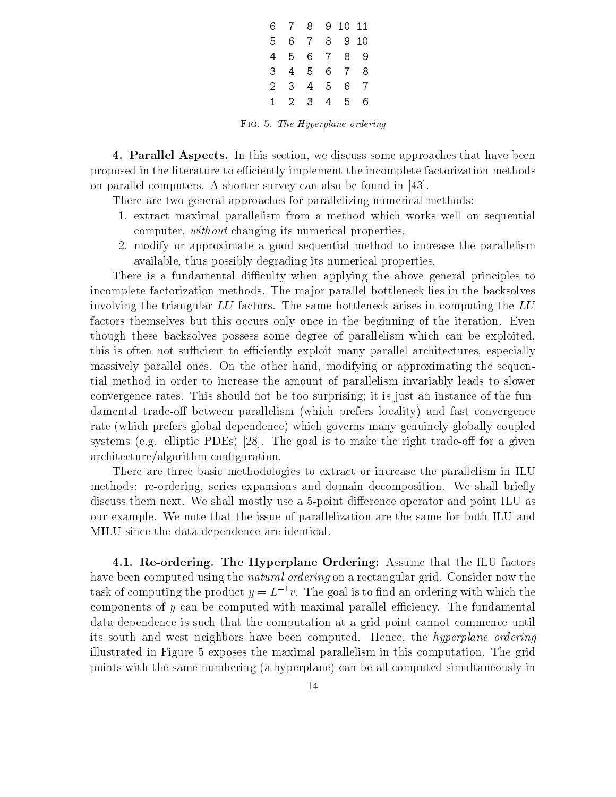|    |             | 6 7 8 9 10 11 |                 |                |     |  |  |
|----|-------------|---------------|-----------------|----------------|-----|--|--|
| 5. |             | 678           |                 |                | 910 |  |  |
| 4  |             | 5 6 7 8       |                 |                | 9   |  |  |
| 3  |             | 4 5 6 7       |                 |                | 8   |  |  |
|    | $2 \t3 \t4$ |               | $5\overline{)}$ | 6              | - 7 |  |  |
| 1. |             | 2 3           | 4               | 5 <sub>5</sub> | 6   |  |  |

Fig. 5. The Hyperplane ordering

4. Parallel Aspects. In this section, we discuss some approaches that have been proposed in the literature to efficiently implement the incomplete factorization methods on parallel computers. A shorter survey can also be found in [43].

There are two general approaches for parallelizing numerical methods:

- 1. extract maximal parallelism from a method which works well on sequential computer, without changing its numerical properties,
- 2. modify or approximate a good sequential method to increase the parallelism available, thus possibly degrading its numerical properties.

There is a fundamental difficulty when applying the above general principles to incomplete factorization methods. The major parallel bottleneck lies in the backsolves involving the triangular  $LU$  factors. The same bottleneck arises in computing the  $LU$ factors themselves but this occurs only once in the beginning of the iteration. Even though these backsolves possess some degree of parallelism which can be exploited, this is often not sufficient to efficiently exploit many parallel architectures, especially massively parallel ones. On the other hand, modifying or approximating the sequential method in order to increase the amount of parallelism invariably leads to slower convergence rates. This should not be too surprising; it is just an instance of the fundamental trade-off between parallelism (which prefers locality) and fast convergence rate (which prefers global dependence) which governs many genuinely globally coupled systems (e.g. elliptic PDEs)  $\vert 28 \vert$ . The goal is to make the right trade-off for a given architecture/algorithm configuration.

There are three basic methodologies to extract or increase the parallelism in ILU methods: re-ordering, series expansions and domain decomposition. We shall briefly discuss them next. We shall mostly use a 5-point difference operator and point ILU as our example. We note that the issue of parallelization are the same for both ILU and MILU since the data dependence are identical.

4.1. Re-ordering. The Hyperplane Ordering: Assume that the ILU factors have been computed using the *natural ordering* on a rectangular grid. Consider now the task of computing the product  $y = L^{-1}v$ . The goal is to find an ordering with which the components of  $y$  can be computed with maximal parallel efficiency. The fundamental data dependence is such that the computation at a grid point cannot commence until its south and west neighbors have been computed. Hence, the hyperplane ordering illustrated in Figure 5 exposes the maximal parallelism in this computation. The grid points with the same numbering (a hyperplane) can be all computed simultaneously in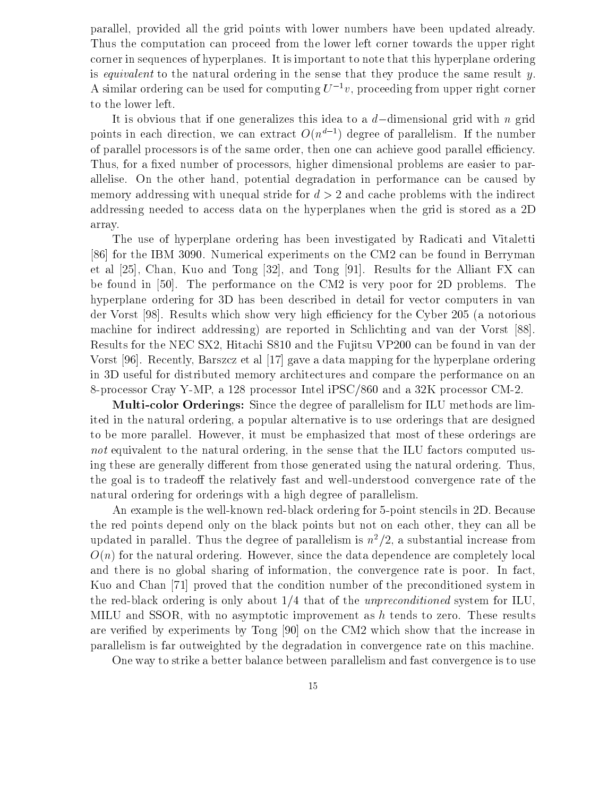parallel, provided all the grid points with lower numbers have been updated already. Thus the computation can proceed from the lower left corner towards the upper right corner in sequences of hyperplanes. It is important to note that this hyperplane ordering is equivalent to the natural ordering in the sense that they produce the same result  $y$ . A similar ordering can be used for computing  $U^{-1}v$ , proceeding from upper right corner to the lower left.

It is obvious that if one generalizes this idea to a  $d$ -dimensional grid with n grid points in each direction, we can extract  $O(n^{d-1})$  degree of parallelism. If the number of parallel processors is of the same order, then one can achieve good parallel efficiency. Thus, for a fixed number of processors, higher dimensional problems are easier to parallelise. On the other hand, potential degradation in performance can be caused by memory addressing with unequal stride for  $d > 2$  and cache problems with the indirect addressing needed to access data on the hyperplanes when the grid is stored as a 2D array.<br>The use of hyperplane ordering has been investigated by Radicati and Vitaletti

[86] for the IBM 3090. Numerical experiments on the CM2 can be found in Berryman et al [25], Chan, Kuo and Tong [32], and Tong [91]. Results for the Alliant FX can be found in [50]. The performance on the CM2 is very poor for 2D problems. The hyperplane ordering for 3D has been described in detail for vector computers in van der Vorst [98]. Results which show very high efficiency for the Cyber 205 (a notorious machine for indirect addressing) are reported in Schlichting and van der Vorst [88]. Results for the NEC SX2, Hitachi S810 and the Fujitsu VP200 can be found in van der Vorst [96]. Recently, Barszcz et al [17] gave a data mapping for the hyperplane ordering in 3D useful for distributed memory architectures and compare the performance on an 8-processor Cray Y-MP, a 128 processor Intel iPSC/860 and a 32K processor CM-2.

Multi-color Orderings: Since the degree of parallelism for ILU methods are limited in the natural ordering, a popular alternative is to use orderings that are designed to be more parallel. However, it must be emphasized that most of these orderings are not equivalent to the natural ordering, in the sense that the ILU factors computed using these are generally different from those generated using the natural ordering. Thus, the goal is to tradeoff the relatively fast and well-understood convergence rate of the natural ordering for orderings with a high degree of parallelism.

An example is the well-known red-black ordering for 5-point stencils in 2D. Because the red points depend only on the black points but not on each other, they can all be updated in parallel. Thus the degree of parallelism is  $n^2/2$ , a substantial increase from  $O(n)$  for the natural ordering. However, since the data dependence are completely local and there is no global sharing of information, the convergence rate is poor. In fact, Kuo and Chan [71] proved that the condition number of the preconditioned system in the red-black ordering is only about  $1/4$  that of the unpreconditioned system for ILU, MILU and SSOR, with no asymptotic improvement as h tends to zero. These results are veried by experiments by Tong [90] on the CM2 which show that the increase in parallelism is far outweighted by the degradation in convergence rate on this machine.

One way to strike a better balance between parallelism and fast convergence is to use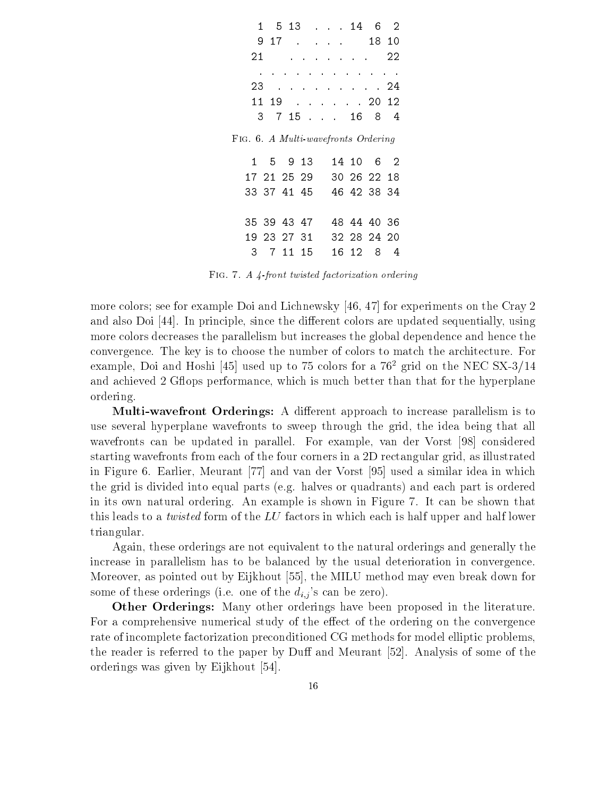| 1  |     |                   |                      |                                          | $5\;13$ 14 6 |                                     | -2  |  |
|----|-----|-------------------|----------------------|------------------------------------------|--------------|-------------------------------------|-----|--|
|    | 917 | $\sim$ $\sim$     |                      | $\mathbf{r} = \mathbf{r} + \mathbf{r}$ . |              | 18 10                               |     |  |
| 21 |     |                   | $\ddot{\phantom{0}}$ |                                          |              | <b>Contract Administration</b>      | 22  |  |
|    |     |                   |                      |                                          |              |                                     |     |  |
| 23 |     | $\sim 10^{-11}$ . | $\sim$ .             |                                          |              | . 24                                |     |  |
| 11 |     |                   |                      |                                          |              | 19 2012                             |     |  |
|    |     |                   |                      |                                          |              | 3 7 15 16 8 4                       |     |  |
|    |     |                   |                      |                                          |              | FIG. 6. A Multi-wavefronts Ordering |     |  |
|    |     | 1 5 9 13          |                      |                                          |              | 14 10 6 2                           |     |  |
|    |     | 17 21 25 29       |                      |                                          |              | 30 26 22 18                         |     |  |
|    |     | 33 37 41 45       |                      |                                          |              | 46 42 38 34                         |     |  |
|    |     |                   |                      |                                          |              |                                     |     |  |
|    |     | 35 39 43 47       |                      |                                          |              | 48 44 40 36                         |     |  |
|    |     | 19 23 27 31       |                      |                                          |              | 32 28 24 20                         |     |  |
| 3. |     | 7 11 15           |                      |                                          | 16 12        | 8                                   | - 4 |  |
|    |     |                   |                      |                                          |              |                                     |     |  |

Fig. 7. A 4-front twisted factorization ordering

more colors; see for example Doi and Lichnewsky [46, 47] for experiments on the Cray 2 and also Doi [44]. In principle, since the different colors are updated sequentially, using more colors decreases the parallelism but increases the global dependence and hence the convergence. The key is to choose the number of colors to match the architecture. For example, Doi and Hoshi [45] used up to 75 colors for a  $76<sup>2</sup>$  grid on the NEC SX-3/14 and achieved 2 Gflops performance, which is much better than that for the hyperplane ordering.

Multi-wavefront Orderings: A different approach to increase parallelism is to use several hyperplane wavefronts to sweep through the grid, the idea being that all wavefronts can be updated in parallel. For example, van der Vorst [98] considered starting wavefronts from each of the four corners in a 2D rectangular grid, as illustrated in Figure 6. Earlier, Meurant [77] and van der Vorst [95] used a similar idea in which the grid is divided into equal parts (e.g. halves or quadrants) and each part is ordered in its own natural ordering. An example is shown in Figure 7.It can be shown that this leads to a *twisted* form of the  $LU$  factors in which each is half upper and half lower triangular.

Again, these orderings are not equivalent to the natural orderings and generally the increase in parallelism has to be balanced by the usual deterioration in convergence. Moreover, as pointed out by Eijkhout [55], the MILU method may even break down for some of these orderings (i.e. one of the  $d_{i,j}$ 's can be zero).

Other Orderings: Many other orderings have been proposed in the literature. For a comprehensive numerical study of the effect of the ordering on the convergence rate of incomplete factorization preconditioned CG methods for model elliptic problems, the reader is referred to the paper by Duff and Meurant  $[52]$ . Analysis of some of the orderings was given by Eijkhout [54].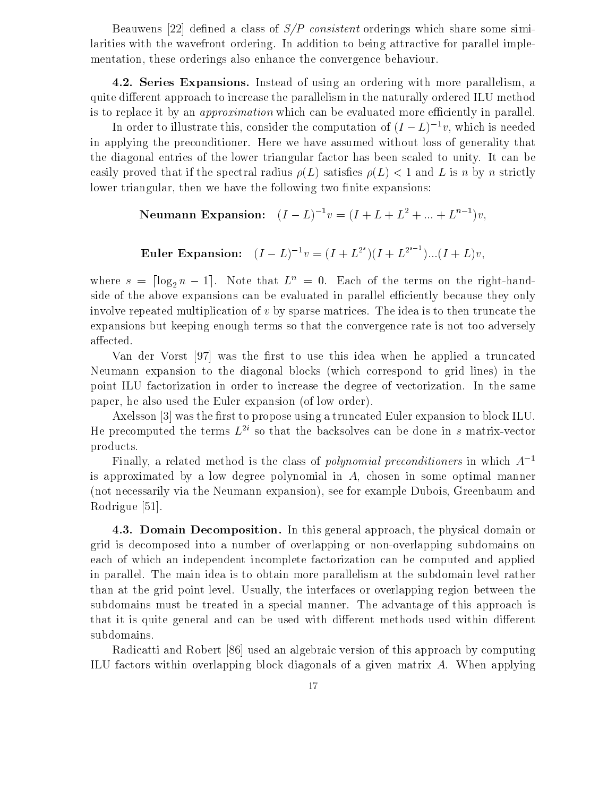Beauwens [22] defined a class of  $S/P$  consistent orderings which share some similarities with the wavefront ordering. In addition to being attractive for parallel implementation, these orderings also enhance the convergence behaviour.

4.2. Series Expansions. Instead of using an ordering with more parallelism, a quite different approach to increase the parallelism in the naturally ordered ILU method is to replace it by an *approximation* which can be evaluated more efficiently in parallel.

In order to illustrate this, consider the computation of  $(I - L)^{-1}v$ , which is needed in applying the preconditioner. Here we have assumed without loss of generality that the diagonal entries of the lower triangular factor has been scaled to unity. It can be easily proved that if the spectral radius  $\rho(L)$  satisfies  $\rho(L) < 1$  and L is n by n strictly lower triangular, then we have the following two finite expansions:

Neumann Expansion: 
$$
(I - L)^{-1}v = (I + L + L^2 + ... + L^{n-1})v
$$
,

**Euler Expansion:** 
$$
(I - L)^{-1}v = (I + L^{2^s})(I + L^{2^{s-1}})...(I + L)v
$$
,

where  $s = \lceil \log_2 n - 1 \rceil$ . Note that  $L^n = 0$ . Each of the terms on the right-handside of the above expansions can be evaluated in parallel efficiently because they only involve repeated multiplication of  $v$  by sparse matrices. The idea is to then truncate the expansions but keeping enough terms so that the convergence rate is not too adversely  $a\text{ffected}.$ 

Van der Vorst [97] was the first to use this idea when he applied a truncated Neumann expansion to the diagonal blocks (which correspond to grid lines) in the point ILU factorization in order to increase the degree of vectorization. In the same paper, he also used the Euler expansion (of low order).

Axelsson [3] was the first to propose using a truncated Euler expansion to block ILU. He precomputed the terms  $L^{2i}$  so that the backsolves can be done in s matrix-vector products.

Finally, a related method is the class of *polynomial preconditioners* in which  $A^{-1}$ is approximated by a low degree polynomial in A, chosen in some optimal manner (not necessarily via the Neumann expansion), see for example Dubois, Greenbaum and Rodrigue [51].

4.3. Domain Decomposition. In this general approach, the physical domain or grid is decomposed into a number of overlapping or non-overlapping subdomains on each of which an independent incomplete factorization can be computed and applied in parallel. The main idea is to obtain more parallelism at the subdomain level rather than at the grid point level. Usually, the interfaces or overlapping region between the subdomains must be treated in a special manner. The advantage of this approach is that it is quite general and can be used with different methods used within different subdomains.

Radicatti and Robert [86] used an algebraic version of this approach by computing ILU factors within overlapping block diagonals of a given matrix A. When applying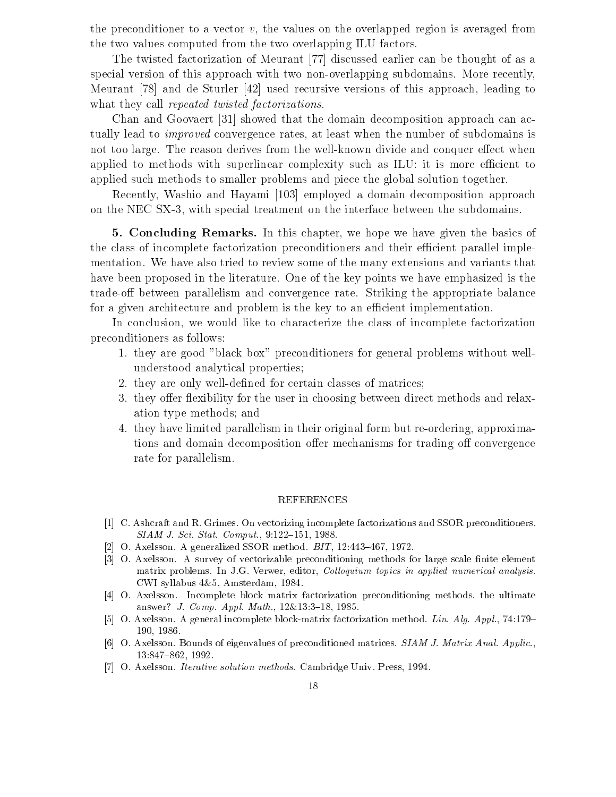the preconditioner to a vector  $v$ , the values on the overlapped region is averaged from the two values computed from the two overlapping ILU factors.

The twisted factorization of Meurant [77] discussed earlier can be thought of as a special version of this approach with two non-overlapping subdomains. More recently, Meurant [78] and de Sturler [42] used recursive versions of this approach, leading to what they call *repeated twisted factorizations*.

Chan and Goovaert [31] showed that the domain decomposition approach can actually lead to *improved* convergence rates, at least when the number of subdomains is not too large. The reason derives from the well-known divide and conquer effect when applied to methods with superlinear complexity such as ILU: it is more efficient to applied such methods to smaller problems and piece the global solution together.

Recently, Washio and Hayami [103] employed a domain decomposition approach on the NEC SX-3, with special treatment on the interface between the subdomains.

5. Concluding Remarks. In this chapter, we hope we have given the basics of the class of incomplete factorization preconditioners and their efficient parallel implementation. We have also tried to review some of the many extensions and variants that have been proposed in the literature. One of the key points we have emphasized is the trade-off between parallelism and convergence rate. Striking the appropriate balance for a given architecture and problem is the key to an efficient implementation.

In conclusion, we would like to characterize the class of incomplete factorization preconditioners as follows:

- 1. they are good "black box" preconditioners for general problems without wellunderstood analytical properties;
- 2. they are only well-defined for certain classes of matrices;
- 3. they offer flexibility for the user in choosing between direct methods and relaxation type methods; and
- 4. they have limited parallelism in their original form but re-ordering, approximations and domain decomposition offer mechanisms for trading off convergence rate for parallelism.

- [1] C. Ashcraft and R. Grimes. On vectorizing incomplete factorizations and SSOR preconditioners. SIAM J. Sci. Stat. Comput., 9:122-151, 1988.
- [2] O. Axelsson. A generalized SSOR method.  $BIT$ , 12:443-467, 1972.
- [3] O. Axelsson. A survey of vectorizable preconditioning methods for large scale finite element matrix problems. In J.G. Verwer, editor, *Colloquium topics in applied numerical analysis*. CWI syllabus 4&5, Amsterdam, 1984.
- [4] O. Axelsson. Incomplete block matrix factorization preconditioning methods. the ultimate answer? J. Comp. Appl. Math., 12&13:3-18, 1985.
- [5] O. Axelsson. A general incomplete block-matrix factorization method. Lin. Alg. Appl., 74:179-190, 1986.
- [6] O. Axelsson. Bounds of eigenvalues of preconditioned matrices. SIAM J. Matrix Anal. Applic., 13:847-862, 1992.
- [7] O. Axelsson. *Iterative solution methods*. Cambridge Univ. Press, 1994.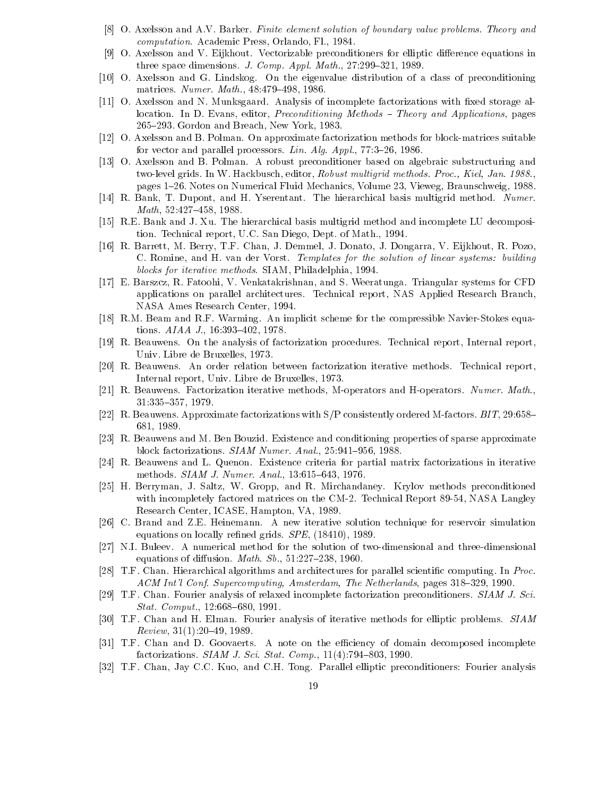- [8] O. Axelsson and A.V. Barker. Finite element solution of boundary value problems. Theory and computation. Academic Press, Orlando, Fl., 1984.
- [9] O. Axelsson and V. Eijkhout. Vectorizable preconditioners for elliptic difference equations in three space dimensions. J. Comp. Appl. Math.,  $27:299-321$ , 1989.
- [10] O. Axelsson and G. Lindskog. On the eigenvalue distribution of a class of preconditioning matrices. Numer. Math.,  $48.479{-}498, 1986$ .
- [11] O. Axelsson and N. Munksgaard. Analysis of incomplete factorizations with fixed storage allocation. In D. Evans, editor, *Preconditioning Methods – Theory and Applications*, pages 265-293. Gordon and Breach, New York, 1983.
- [12] O. Axelsson and B. Polman. On approximate factorization methods for block-matrices suitable for vector and parallel processors. Lin. Alg. Appl.,  $77:3-26$ , 1986.
- [13] O. Axelsson and B. Polman. A robust preconditioner based on algebraic substructuring and two-level grids. In W. Hackbusch, editor, Robust multigrid methods. Proc., Kiel, Jan. 1988., pages 1{26. Notes on Numerical Fluid Mechanics, Volume 23, Vieweg, Braunschweig, 1988.
- [14] R. Bank, T. Dupont, and H. Yserentant. The hierarchical basis multigrid method. Numer. Math, 52:427-458, 1988.
- [15] R.E. Bank and J. Xu. The hierarchical basis multigrid method and incomplete LU decomposition. Technical report, U.C. San Diego, Dept. of Math., 1994.
- [16] R. Barrett, M. Berry, T.F. Chan, J. Demmel, J. Donato, J. Dongarra, V. Eijkhout, R. Pozo, C. Romine, and H. van der Vorst. Templates for the solution of linear systems: building blocks for iterative methods. SIAM, Philadelphia, 1994.
- [17] E. Barszcz, R. Fatoohi, V. Venkatakrishnan, and S. Weeratunga. Triangular systems for CFD applications on parallel architectures. Technical report, NAS Applied Research Branch, NASA Ames Research Center, 1994.
- [18] R.M. Beam and R.F. Warming. An implicit scheme for the compressible Navier-Stokes equations.  $AIAA$  J., 16:393-402, 1978.
- [19] R. Beauwens. On the analysis of factorization procedures. Technical report, Internal report, Univ. Libre de Bruxelles, 1973.
- [20] R. Beauwens. An order relation between factorization iterative methods. Technical report, Internal report, Univ. Libre de Bruxelles, 1973.
- [21] R. Beauwens. Factorization iterative methods, M-operators and H-operators. Numer. Math., 31:335-357, 1979.
- [22] R. Beauwens. Approximate factorizations with  $S/P$  consistently ordered M-factors. BIT, 29:658– 681, 1989.
- [23] R. Beauwens and M. Ben Bouzid. Existence and conditioning properties of sparse approximate block factorizations. SIAM Numer. Anal., 25:941-956, 1988.
- [24] R. Beauwens and L. Quenon. Existence criteria for partial matrix factorizations in iterative methods. *SIAM J. Numer. Anal.*, 13:615-643, 1976.
- [25] H. Berryman, J. Saltz, W. Gropp, and R. Mirchandaney. Krylov methods preconditioned with incompletely factored matrices on the CM-2. Technical Report 89-54, NASA Langley Research Center, ICASE, Hampton, VA, 1989.
- [26] C. Brand and Z.E. Heinemann. A new iterative solution technique for reservoir simulation equations on locally refined grids.  $SPE$ ,  $(18410)$ , 1989.
- [27] N.I. Buleev. A numerical method for the solution of two-dimensional and three-dimensional equations of diffusion. Math.  $Sb.$ , 51:227-238, 1960.
- [28] T.F. Chan. Hierarchical algorithms and architectures for parallel scientic computing. In Proc. ACM Int'l Conf. Supercomputing, Amsterdam, The Netherlands, pages 318–329, 1990.
- [29] T.F. Chan. Fourier analysis of relaxed incomplete factorization preconditioners. SIAM J. Sci.  $Stat. \; Comput., 12:668–680, 1991.$
- [30] T.F. Chan and H. Elman. Fourier analysis of iterative methods for elliptic problems. SIAM  $Review, 31(1):20-49, 1989.$
- [31] T.F. Chan and D. Goovaerts. A note on the efficiency of domain decomposed incomplete factorizations. SIAM J. Sci. Stat. Comp.,  $11(4):794-803, 1990.$
- [32] T.F. Chan, Jay C.C. Kuo, and C.H. Tong. Parallel elliptic preconditioners: Fourier analysis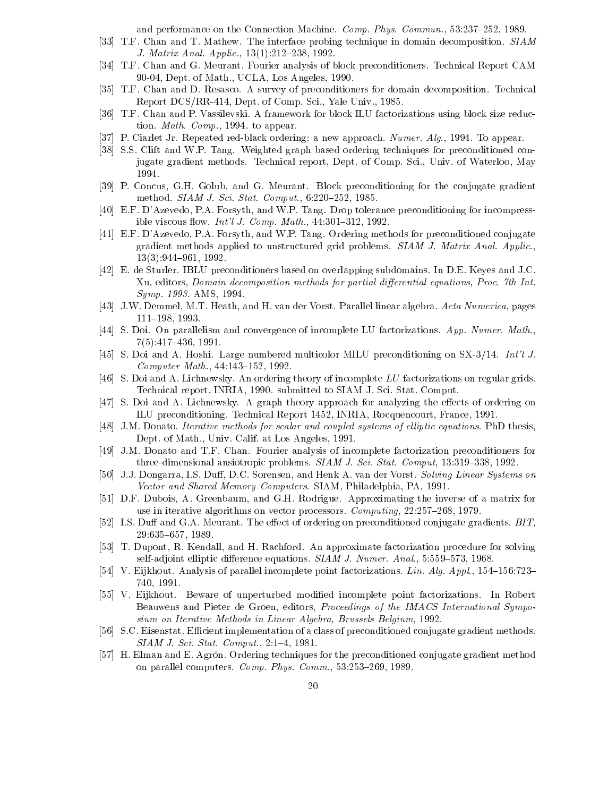and performance on the Connection Machine. *Comp. Phys. Commun.*, 53:237-252, 1989.

- [33] T.F. Chan and T. Mathew. The interface probing technique in domain decomposition. SIAM J. Matrix Anal. Applic., 13(1):212-238, 1992.
- [34] T.F. Chan and G. Meurant. Fourier analysis of block preconditioners. Technical Report CAM 90-04, Dept. of Math., UCLA, Los Angeles, 1990.
- [35] T.F. Chan and D. Resasco. A survey of preconditioners for domain decomposition. Technical Report DCS/RR-414, Dept. of Comp. Sci., Yale Univ., 1985.
- [36] T.F. Chan and P. Vassilevski. A framework for block ILU factorizations using block size reduction. Math. Comp., 1994. to appear.
- [37] P. Ciarlet Jr. Repeated red-black ordering: a new approach. Numer. Alg., 1994. To appear.
- [38] S.S. Clift and W.P. Tang. Weighted graph based ordering techniques for preconditioned conjugate gradient methods. Technical report, Dept. of Comp. Sci., Univ. of Waterloo, May 1994.
- [39] P. Concus, G.H. Golub, and G. Meurant. Block preconditioning for the conjugate gradient method. SIAM J. Sci. Stat. Comput., 6:220-252, 1985.
- [40] E.F. D'Azevedo, P.A. Forsyth, and W.P. Tang. Drop tolerance preconditioning for incompressible viscous flow. *Int'l J. Comp. Math.*,  $44:301-312$ , 1992.
- [41] E.F. D'Azevedo, P.A. Forsyth, and W.P. Tang. Ordering methods for preconditioned conjugate gradient methods applied to unstructured grid problems. SIAM J. Matrix Anal. Applic.,  $13(3):944{-}961, 1992.$
- [42] E. de Sturler. IBLU preconditioners based on overlapping subdomains. In D.E. Keyes and J.C. Xu, editors, Domain decomposition methods for partial differential equations, Proc. 7th Int. Symp. 1993. AMS, 1994.
- [43] J.W. Demmel, M.T. Heath, and H. van der Vorst. Parallel linear algebra. Acta Numerica, pages 111-198, 1993.
- [44] S. Doi. On parallelism and convergence of incomplete LU factorizations. App. Numer. Math.,  $7(5):417{-}436, 1991.$
- [45] S. Doi and A. Hoshi. Large numbered multicolor MILU preconditioning on SX-3/14. Int'l J.  $Computer Math., 44:143-152, 1992.$
- [46] S. Doi and A. Lichnewsky. An ordering theory of incomplete LU factorizations on regular grids. Technical report, INRIA, 1990. submitted to SIAM J. Sci. Stat. Comput.
- [47] S. Doi and A. Lichnewsky. A graph theory approach for analyzing the effects of ordering on ILU preconditioning. Technical Report 1452, INRIA, Rocquencourt, France, 1991.
- [48] J.M. Donato. Iterative methods for scalar and coupled systems of elliptic equations. PhD thesis, Dept. of Math., Univ. Calif. at Los Angeles, 1991.
- [49] J.M. Donato and T.F. Chan. Fourier analysis of incomplete factorization preconditioners for three-dimensional ansiotropic problems.  $SIAMJ.$  Sci. Stat. Comput, 13:319-338, 1992.
- [50] J.J. Dongarra, I.S. Duff, D.C. Sorensen, and Henk A. van der Vorst. Solving Linear Systems on Vector and Shared Memory Computers. SIAM, Philadelphia, PA, 1991.
- [51] D.F. Dubois, A. Greenbaum, and G.H. Rodrigue. Approximating the inverse of a matrix for use in iterative algorithms on vector processors. Computing, 22:257-268, 1979.
- [52] I.S. Duff and G.A. Meurant. The effect of ordering on preconditioned conjugate gradients.  $BIT$ , 29:635-657, 1989.
- [53] T. Dupont, R. Kendall, and H. Rachford. An approximate factorization procedure for solving self-adjoint elliptic difference equations.  $SIAM$  J. Numer. Anal., 5:559-573, 1968.
- [54] V. Eijkhout. Analysis of parallel incomplete point factorizations. Lin. Alg. Appl.,  $154{-}156:723{-}$ 740, 1991.
- [55] V. Eijkhout. Beware of unperturbed modied incomplete point factorizations. In Robert Beauwens and Pieter de Groen, editors, Proceedings of the IMACS International Symposium on Iterative Methods in Linear Algebra, Brussels Belgium, 1992.
- [56] S.C. Eisenstat. Efficient implementation of a class of preconditioned conjugate gradient methods.  $SIAM$  J. Sci. Stat. Comput., 2:1-4, 1981.
- [57] H. Elman and E. Agrón. Ordering techniques for the preconditioned conjugate gradient method on parallel computers. Comp. Phys. Comm.,  $53:253-269$ , 1989.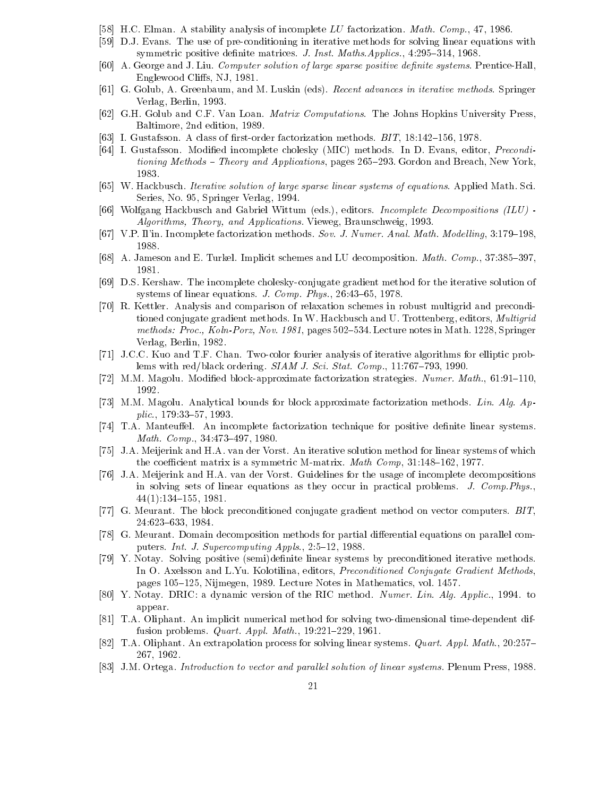- [58] H.C. Elman. A stability analysis of incomplete LU factorization. Math. Comp., 47, 1986.
- [59] D.J. Evans. The use of pre-conditioning in iterative methods for solving linear equations with symmetric positive definite matrices. J. Inst. Maths.Applics., 4:295-314, 1968.
- [60] A. George and J. Liu. Computer solution of large sparse positive definite systems. Prentice-Hall, Englewood Cliffs, NJ, 1981.
- [61] G. Golub, A. Greenbaum, and M. Luskin (eds). Recent advances in iterative methods. Springer Verlag, Berlin, 1993.
- [62] G.H. Golub and C.F. Van Loan. Matrix Computations. The Johns Hopkins University Press, Baltimore, 2nd edition, 1989.
- [63] I. Gustafsson. A class of first-order factorization methods.  $BIT$ , 18:142-156, 1978.
- [64] I. Gustafsson. Modied incomplete cholesky (MIC) methods. In D. Evans, editor, Preconditioning Methods – Theory and Applications, pages  $265-293$ . Gordon and Breach, New York, 1983.
- [65] W. Hackbusch. Iterative solution of large sparse linear systems of equations. Applied Math. Sci. Series, No. 95, Springer Verlag, 1994.
- [66] Wolfgang Hackbusch and Gabriel Wittum (eds.), editors. Incomplete Decompositions (ILU) Algorithms, Theory, and Applications. Vieweg, Braunschweig, 1993.
- [67] V.P. Il'in. Incomplete factorization methods. Sov. J. Numer. Anal. Math. Modelling, 3:179–198. 1988.
- [68] A. Jameson and E. Turkel. Implicit schemes and LU decomposition. *Math. Comp.*,  $37:385{-}397$ , 1981.
- [69] D.S. Kershaw. The incomplete cholesky-conjugate gradient method for the iterative solution of systems of linear equations. J. Comp. Phys.,  $26:43-65$ , 1978.
- [70] R. Kettler. Analysis and comparison of relaxation schemes in robust multigrid and preconditioned conjugate gradient methods. In W. Hackbusch and U. Trottenberg, editors, Multigrid methods: Proc., Koln-Porz, Nov. 1981, pages 502–534. Lecture notes in Math. 1228, Springer Verlag, Berlin, 1982.
- [71] J.C.C. Kuo and T.F. Chan. Two-color fourier analysis of iterative algorithms for elliptic problems with red/black ordering.  $SIAM J. Sci. Stat. Comp., 11:767–793, 1990.$
- [72] M.M. Magolu. Modified block-approximate factorization strategies. Numer. Math.,  $61:91-110$ . 1992.
- [73] M.M. Magolu. Analytical bounds for block approximate factorization methods. Lin. Alg. Ap $p\,$ lic., 179:33-57, 1993.
- [74] T.A. Manteuffel. An incomplete factorization technique for positive definite linear systems. Math. Comp.,  $34:473{-}497, 1980$ .
- [75] J.A. Meijerink and H.A. van der Vorst. An iterative solution method for linear systems of which the coefficient matrix is a symmetric M-matrix. *Math Comp*,  $31:148{-}162$ , 1977.
- [76] J.A. Meijerink and H.A. van der Vorst. Guidelines for the usage of incomplete decompositions in solving sets of linear equations as they occur in practical problems. J. Comp.Phys.,  $44(1):134{\text -}155, 1981.$
- [77] G. Meurant. The block preconditioned conjugate gradient method on vector computers. BIT, 24:623-633, 1984.
- [78] G. Meurant. Domain decomposition methods for partial differential equations on parallel computers. Int. J. Supercomputing Appls., 2:5-12, 1988.
- [79] Y. Notay. Solving positive (semi)definite linear systems by preconditioned iterative methods. In O. Axelsson and L.Yu. Kolotilina, editors, Preconditioned Conjugate Gradient Methods, pages 105–125, Nijmegen, 1989. Lecture Notes in Mathematics, vol. 1457.
- [80] Y. Notay. DRIC: a dynamic version of the RIC method. Numer. Lin. Alg. Applic., 1994. to appear.
- [81] T.A. Oliphant. An implicit numerical method for solving two-dimensional time-dependent diffusion problems. *Quart. Appl. Math.*,  $19:221{-}229$ , 1961.
- [82] T.A. Oliphant. An extrapolation process for solving linear systems. *Quart. Appl. Math.*, 20:257-267, 1962.
- [83] J.M. Ortega. Introduction to vector and parallel solution of linear systems. Plenum Press, 1988.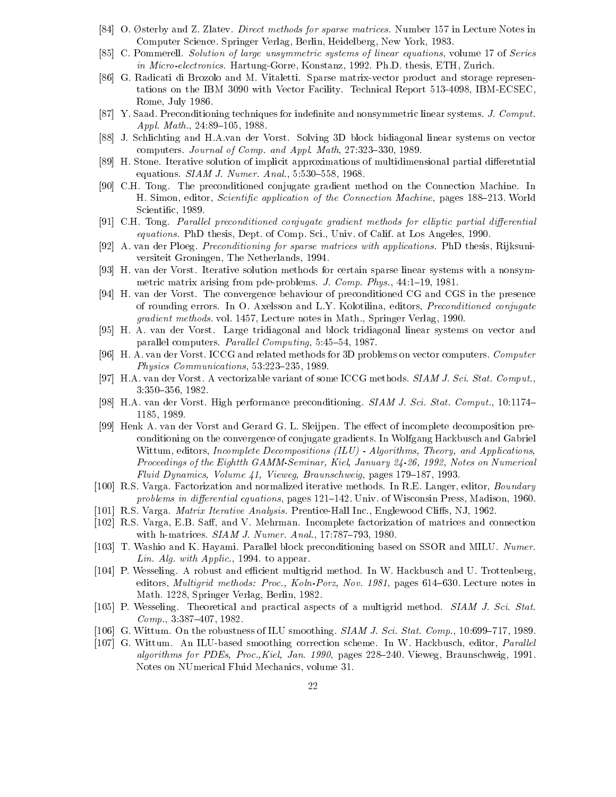- [84] O. Østerby and Z. Zlatev. *Direct methods for sparse matrices*. Number 157 in Lecture Notes in Computer Science. Springer Verlag, Berlin, Heidelberg, New York, 1983.
- [85] C. Pommerell. Solution of large unsymmetric systems of linear equations, volume 17 of Series in Micro-electronics. Hartung-Gorre, Konstanz, 1992. Ph.D. thesis, ETH, Zurich.
- [86] G. Radicati di Brozolo and M. Vitaletti. Sparse matrix-vector product and storage representations on the IBM 3090 with Vector Facility. Technical Report 513-4098, IBM-ECSEC, Rome, July 1986.
- [87] Y. Saad. Preconditioning techniques for indefinite and nonsymmetric linear systems. J. Comput. Appl. Math.,  $24:89-105$ , 1988.
- [88] J. Schlichting and H.A.van der Vorst. Solving 3D block bidiagonal linear systems on vector computers. Journal of Comp. and Appl. Math, 27:323-330, 1989.
- [89] H. Stone. Iterative solution of implicit approximations of multidimensional partial differetntial equations.  $SIAM$  J. Numer. Anal., 5:530-558, 1968.
- [90] C.H. Tong. The preconditioned conjugate gradient method on the Connection Machine. In H. Simon, editor, Scientific application of the Connection Machine, pages 188-213. World Scientic, 1989.
- [91] C.H. Tong. Parallel preconditioned conjugate gradient methods for elliptic partial differential equations. PhD thesis, Dept. of Comp. Sci., Univ. of Calif. at Los Angeles, 1990.
- [92] A. van der Ploeg. Preconditioning for sparse matrices with applications. PhD thesis, Rijksuni versiteit Groningen, The Netherlands, 1994.
- [93] H. van der Vorst. Iterative solution methods for certain sparse linear systems with a nonsymmetric matrix arising from pde-problems. J. Comp. Phys., 44:1-19, 1981.
- [94] H. van der Vorst. The convergence behaviour of preconditioned CG and CGS in the presence of rounding errors. In O. Axelsson and L.Y. Kolotilina, editors, Preconditioned conjugate gradient methods. vol. 1457, Lecture notes in Math., Springer Verlag, 1990.
- [95] H. A. van der Vorst. Large tridiagonal and block tridiagonal linear systems on vector and parallel computers. Parallel Computing, 5:45-54, 1987.
- [96] H. A. van der Vorst. ICCG and related methods for 3D problems on vector computers. Computer Physics Communications,  $53:223-235$ , 1989.
- [97] H.A. van der Vorst. A vectorizable variant of some ICCG methods. SIAM J. Sci. Stat. Comput., 3:350{356, 1982.
- [98] H.A. van der Vorst. High performance preconditioning. SIAM J. Sci. Stat. Comput., 10:1174– 1185, 1989.
- [99] Henk A. van der Vorst and Gerard G. L. Sleijpen. The effect of incomplete decomposition preconditioning on the convergence of conjugate gradients. In Wolfgang Hackbusch and Gabriel Wittum, editors, Incomplete Decompositions (ILU) - Algorithms, Theory, and Applications, Proceedings of the Eightth GAMM-Seminar, Kiel, January 24-26, 1992, Notes on Numerical Fluid Dynamics, Volume  $41$ , Vieweg, Braunschweig, pages 179-187, 1993.
- [100] R.S. Varga. Factorization and normalized iterative methods. In R.E. Langer, editor, Boundary problems in differential equations, pages  $121{-}142$ . Univ. of Wisconsin Press, Madison, 1960.
- [101] R.S. Varga. *Matrix Iterative Analysis*. Prentice-Hall Inc., Englewood Cliffs, NJ, 1962.
- [102] R.S. Varga, E.B. Saff, and V. Mehrman. Incomplete factorization of matrices and connection with h-matrices.  $SIAM$  J. Numer. Anal., 17:787-793, 1980.
- [103] T. Washio and K. Hayami. Parallel block preconditioning based on SSOR and MILU. Numer. Lin. Alg. with  $Applic., 1994.$  to appear.
- [104] P. Wesseling. A robust and efficient multigrid method. In W. Hackbusch and U. Trottenberg, editors, *Multigrid methods: Proc., Koln-Porz, Nov. 1981*, pages 614–630. Lecture notes in Math. 1228, Springer Verlag, Berlin, 1982.
- [105] P. Wesseling. Theoretical and practical aspects of a multigrid method. SIAM J. Sci. Stat.  $Comp., 3:387–407, 1982.$
- [106] G. Wittum. On the robustness of ILU smoothing.  $SIAM J. Sci. Stat. Comp., 10:699-717, 1989.$
- [107] G. Wittum. An ILU-based smoothing correction scheme. In W. Hackbusch, editor, *Parallel* algorithms for PDEs, Proc., Kiel, Jan. 1990, pages  $228{-}240$ . Vieweg, Braunschweig, 1991. Notes on NUmerical Fluid Mechanics, volume 31.